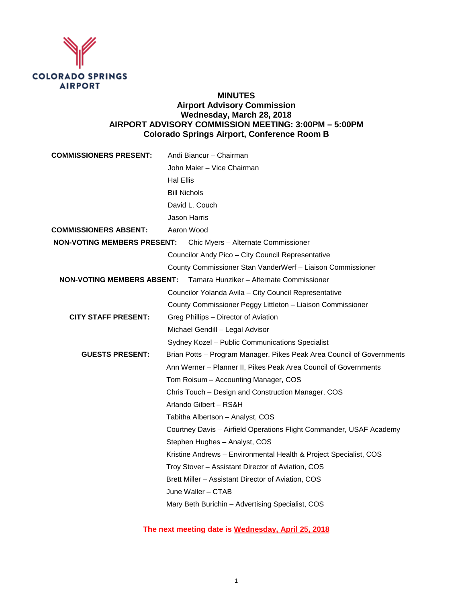

# **MINUTES Airport Advisory Commission Wednesday, March 28, 2018 AIRPORT ADVISORY COMMISSION MEETING: 3:00PM – 5:00PM Colorado Springs Airport, Conference Room B**

| <b>COMMISSIONERS PRESENT:</b>      | Andi Biancur - Chairman                                               |
|------------------------------------|-----------------------------------------------------------------------|
|                                    | John Maier - Vice Chairman                                            |
|                                    | <b>Hal Ellis</b>                                                      |
|                                    | <b>Bill Nichols</b>                                                   |
|                                    | David L. Couch                                                        |
|                                    | Jason Harris                                                          |
| <b>COMMISSIONERS ABSENT:</b>       | Aaron Wood                                                            |
| <b>NON-VOTING MEMBERS PRESENT:</b> | Chic Myers - Alternate Commissioner                                   |
|                                    | Councilor Andy Pico - City Council Representative                     |
|                                    | County Commissioner Stan VanderWerf - Liaison Commissioner            |
| <b>NON-VOTING MEMBERS ABSENT:</b>  | Tamara Hunziker - Alternate Commissioner                              |
|                                    | Councilor Yolanda Avila - City Council Representative                 |
|                                    | County Commissioner Peggy Littleton - Liaison Commissioner            |
| <b>CITY STAFF PRESENT:</b>         | Greg Phillips - Director of Aviation                                  |
|                                    | Michael Gendill - Legal Advisor                                       |
|                                    | Sydney Kozel - Public Communications Specialist                       |
| <b>GUESTS PRESENT:</b>             | Brian Potts - Program Manager, Pikes Peak Area Council of Governments |
|                                    | Ann Werner - Planner II, Pikes Peak Area Council of Governments       |
|                                    | Tom Roisum - Accounting Manager, COS                                  |
|                                    | Chris Touch - Design and Construction Manager, COS                    |
|                                    | Arlando Gilbert - RS&H                                                |
|                                    | Tabitha Albertson - Analyst, COS                                      |
|                                    | Courtney Davis - Airfield Operations Flight Commander, USAF Academy   |
|                                    | Stephen Hughes - Analyst, COS                                         |
|                                    | Kristine Andrews - Environmental Health & Project Specialist, COS     |
|                                    | Troy Stover - Assistant Director of Aviation, COS                     |
|                                    | Brett Miller - Assistant Director of Aviation, COS                    |
|                                    | June Waller - CTAB                                                    |
|                                    | Mary Beth Burichin - Advertising Specialist, COS                      |
|                                    |                                                                       |

**The next meeting date is Wednesday, April 25, 2018**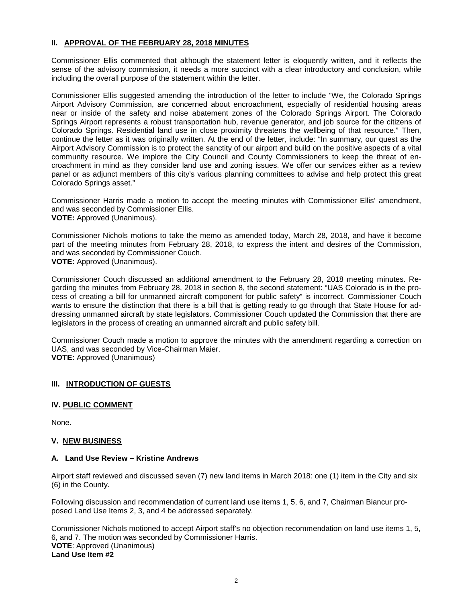### **II. APPROVAL OF THE FEBRUARY 28, 2018 MINUTES**

Commissioner Ellis commented that although the statement letter is eloquently written, and it reflects the sense of the advisory commission, it needs a more succinct with a clear introductory and conclusion, while including the overall purpose of the statement within the letter.

Commissioner Ellis suggested amending the introduction of the letter to include "We, the Colorado Springs Airport Advisory Commission, are concerned about encroachment, especially of residential housing areas near or inside of the safety and noise abatement zones of the Colorado Springs Airport. The Colorado Springs Airport represents a robust transportation hub, revenue generator, and job source for the citizens of Colorado Springs. Residential land use in close proximity threatens the wellbeing of that resource." Then, continue the letter as it was originally written. At the end of the letter, include: "In summary, our quest as the Airport Advisory Commission is to protect the sanctity of our airport and build on the positive aspects of a vital community resource. We implore the City Council and County Commissioners to keep the threat of encroachment in mind as they consider land use and zoning issues. We offer our services either as a review panel or as adjunct members of this city's various planning committees to advise and help protect this great Colorado Springs asset."

Commissioner Harris made a motion to accept the meeting minutes with Commissioner Ellis' amendment, and was seconded by Commissioner Ellis. **VOTE:** Approved (Unanimous).

Commissioner Nichols motions to take the memo as amended today, March 28, 2018, and have it become part of the meeting minutes from February 28, 2018, to express the intent and desires of the Commission, and was seconded by Commissioner Couch. **VOTE:** Approved (Unanimous).

Commissioner Couch discussed an additional amendment to the February 28, 2018 meeting minutes. Regarding the minutes from February 28, 2018 in section 8, the second statement: "UAS Colorado is in the process of creating a bill for unmanned aircraft component for public safety" is incorrect. Commissioner Couch wants to ensure the distinction that there is a bill that is getting ready to go through that State House for addressing unmanned aircraft by state legislators. Commissioner Couch updated the Commission that there are legislators in the process of creating an unmanned aircraft and public safety bill.

Commissioner Couch made a motion to approve the minutes with the amendment regarding a correction on UAS, and was seconded by Vice-Chairman Maier. **VOTE:** Approved (Unanimous)

## **III. INTRODUCTION OF GUESTS**

#### **IV. PUBLIC COMMENT**

None.

#### **V. NEW BUSINESS**

#### **A. Land Use Review – Kristine Andrews**

Airport staff reviewed and discussed seven (7) new land items in March 2018: one (1) item in the City and six (6) in the County.

Following discussion and recommendation of current land use items 1, 5, 6, and 7, Chairman Biancur proposed Land Use Items 2, 3, and 4 be addressed separately.

Commissioner Nichols motioned to accept Airport staff's no objection recommendation on land use items 1, 5, 6, and 7. The motion was seconded by Commissioner Harris. **VOTE**: Approved (Unanimous) **Land Use Item #2**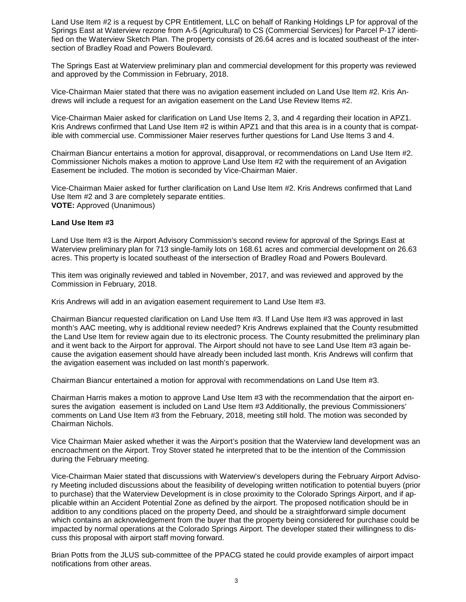Land Use Item #2 is a request by CPR Entitlement, LLC on behalf of Ranking Holdings LP for approval of the Springs East at Waterview rezone from A-5 (Agricultural) to CS (Commercial Services) for Parcel P-17 identified on the Waterview Sketch Plan. The property consists of 26.64 acres and is located southeast of the intersection of Bradley Road and Powers Boulevard.

The Springs East at Waterview preliminary plan and commercial development for this property was reviewed and approved by the Commission in February, 2018.

Vice-Chairman Maier stated that there was no avigation easement included on Land Use Item #2. Kris Andrews will include a request for an avigation easement on the Land Use Review Items #2.

Vice-Chairman Maier asked for clarification on Land Use Items 2, 3, and 4 regarding their location in APZ1. Kris Andrews confirmed that Land Use Item #2 is within APZ1 and that this area is in a county that is compatible with commercial use. Commissioner Maier reserves further questions for Land Use Items 3 and 4.

Chairman Biancur entertains a motion for approval, disapproval, or recommendations on Land Use Item #2. Commissioner Nichols makes a motion to approve Land Use Item #2 with the requirement of an Avigation Easement be included. The motion is seconded by Vice-Chairman Maier.

Vice-Chairman Maier asked for further clarification on Land Use Item #2. Kris Andrews confirmed that Land Use Item #2 and 3 are completely separate entities. **VOTE:** Approved (Unanimous)

#### **Land Use Item #3**

Land Use Item #3 is the Airport Advisory Commission's second review for approval of the Springs East at Waterview preliminary plan for 713 single-family lots on 168.61 acres and commercial development on 26.63 acres. This property is located southeast of the intersection of Bradley Road and Powers Boulevard.

This item was originally reviewed and tabled in November, 2017, and was reviewed and approved by the Commission in February, 2018.

Kris Andrews will add in an avigation easement requirement to Land Use Item #3.

Chairman Biancur requested clarification on Land Use Item #3. If Land Use Item #3 was approved in last month's AAC meeting, why is additional review needed? Kris Andrews explained that the County resubmitted the Land Use Item for review again due to its electronic process. The County resubmitted the preliminary plan and it went back to the Airport for approval. The Airport should not have to see Land Use Item #3 again because the avigation easement should have already been included last month. Kris Andrews will confirm that the avigation easement was included on last month's paperwork.

Chairman Biancur entertained a motion for approval with recommendations on Land Use Item #3.

Chairman Harris makes a motion to approve Land Use Item #3 with the recommendation that the airport ensures the avigation easement is included on Land Use Item #3 Additionally, the previous Commissioners' comments on Land Use Item #3 from the February, 2018, meeting still hold. The motion was seconded by Chairman Nichols.

Vice Chairman Maier asked whether it was the Airport's position that the Waterview land development was an encroachment on the Airport. Troy Stover stated he interpreted that to be the intention of the Commission during the February meeting.

Vice-Chairman Maier stated that discussions with Waterview's developers during the February Airport Advisory Meeting included discussions about the feasibility of developing written notification to potential buyers (prior to purchase) that the Waterview Development is in close proximity to the Colorado Springs Airport, and if applicable within an Accident Potential Zone as defined by the airport. The proposed notification should be in addition to any conditions placed on the property Deed, and should be a straightforward simple document which contains an acknowledgement from the buyer that the property being considered for purchase could be impacted by normal operations at the Colorado Springs Airport. The developer stated their willingness to discuss this proposal with airport staff moving forward.

Brian Potts from the JLUS sub-committee of the PPACG stated he could provide examples of airport impact notifications from other areas.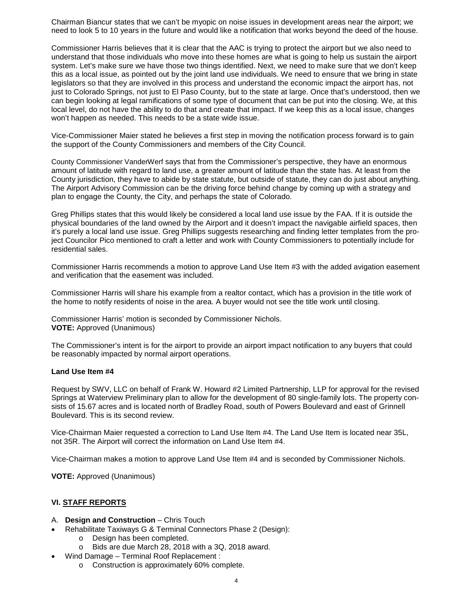Chairman Biancur states that we can't be myopic on noise issues in development areas near the airport; we need to look 5 to 10 years in the future and would like a notification that works beyond the deed of the house.

Commissioner Harris believes that it is clear that the AAC is trying to protect the airport but we also need to understand that those individuals who move into these homes are what is going to help us sustain the airport system. Let's make sure we have those two things identified. Next, we need to make sure that we don't keep this as a local issue, as pointed out by the joint land use individuals. We need to ensure that we bring in state legislators so that they are involved in this process and understand the economic impact the airport has, not just to Colorado Springs, not just to El Paso County, but to the state at large. Once that's understood, then we can begin looking at legal ramifications of some type of document that can be put into the closing. We, at this local level, do not have the ability to do that and create that impact. If we keep this as a local issue, changes won't happen as needed. This needs to be a state wide issue.

Vice-Commissioner Maier stated he believes a first step in moving the notification process forward is to gain the support of the County Commissioners and members of the City Council.

County Commissioner VanderWerf says that from the Commissioner's perspective, they have an enormous amount of latitude with regard to land use, a greater amount of latitude than the state has. At least from the County jurisdiction, they have to abide by state statute, but outside of statute, they can do just about anything. The Airport Advisory Commission can be the driving force behind change by coming up with a strategy and plan to engage the County, the City, and perhaps the state of Colorado.

Greg Phillips states that this would likely be considered a local land use issue by the FAA. If it is outside the physical boundaries of the land owned by the Airport and it doesn't impact the navigable airfield spaces, then it's purely a local land use issue. Greg Phillips suggests researching and finding letter templates from the project Councilor Pico mentioned to craft a letter and work with County Commissioners to potentially include for residential sales.

Commissioner Harris recommends a motion to approve Land Use Item #3 with the added avigation easement and verification that the easement was included.

Commissioner Harris will share his example from a realtor contact, which has a provision in the title work of the home to notify residents of noise in the area. A buyer would not see the title work until closing.

Commissioner Harris' motion is seconded by Commissioner Nichols. **VOTE:** Approved (Unanimous)

The Commissioner's intent is for the airport to provide an airport impact notification to any buyers that could be reasonably impacted by normal airport operations.

#### **Land Use Item #4**

Request by SWV, LLC on behalf of Frank W. Howard #2 Limited Partnership, LLP for approval for the revised Springs at Waterview Preliminary plan to allow for the development of 80 single-family lots. The property consists of 15.67 acres and is located north of Bradley Road, south of Powers Boulevard and east of Grinnell Boulevard. This is its second review.

Vice-Chairman Maier requested a correction to Land Use Item #4. The Land Use Item is located near 35L, not 35R. The Airport will correct the information on Land Use Item #4.

Vice-Chairman makes a motion to approve Land Use Item #4 and is seconded by Commissioner Nichols.

**VOTE:** Approved (Unanimous)

## **VI. STAFF REPORTS**

#### A. **Design and Construction** – Chris Touch

- Rehabilitate Taxiways G & Terminal Connectors Phase 2 (Design):
	- o Design has been completed.
	- o Bids are due March 28, 2018 with a 3Q, 2018 award.
- Wind Damage Terminal Roof Replacement :
	- o Construction is approximately 60% complete.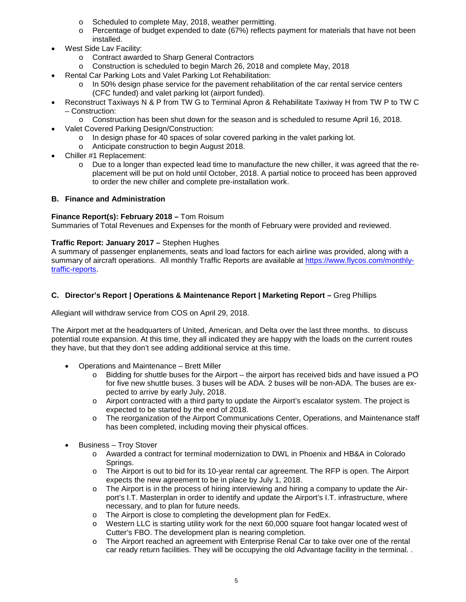- o Scheduled to complete May, 2018, weather permitting.
- $\circ$  Percentage of budget expended to date (67%) reflects payment for materials that have not been installed.
- West Side Lav Facility:
	- o Contract awarded to Sharp General Contractors
	- o Construction is scheduled to begin March 26, 2018 and complete May, 2018
- Rental Car Parking Lots and Valet Parking Lot Rehabilitation:
	- $\circ$  In 50% design phase service for the pavement rehabilitation of the car rental service centers (CFC funded) and valet parking lot (airport funded).
- Reconstruct Taxiways N & P from TW G to Terminal Apron & Rehabilitate Taxiway H from TW P to TW C – Construction:
	- o Construction has been shut down for the season and is scheduled to resume April 16, 2018.
- Valet Covered Parking Design/Construction:
	- o In design phase for 40 spaces of solar covered parking in the valet parking lot.
	- o Anticipate construction to begin August 2018.
- Chiller #1 Replacement:
	- o Due to a longer than expected lead time to manufacture the new chiller, it was agreed that the replacement will be put on hold until October, 2018. A partial notice to proceed has been approved to order the new chiller and complete pre-installation work.

## **B. Finance and Administration**

### **Finance Report(s): February 2018 –** Tom Roisum

Summaries of Total Revenues and Expenses for the month of February were provided and reviewed.

## **Traffic Report: January 2017 –** Stephen Hughes

A summary of passenger enplanements, seats and load factors for each airline was provided, along with a summary of aircraft operations. All monthly Traffic Reports are available at [https://www.flycos.com/monthly](https://www.flycos.com/monthly-traffic-reports)[traffic-reports.](https://www.flycos.com/monthly-traffic-reports)

### **C. Director's Report | Operations & Maintenance Report | Marketing Report –** Greg Phillips

Allegiant will withdraw service from COS on April 29, 2018.

The Airport met at the headquarters of United, American, and Delta over the last three months. to discuss potential route expansion. At this time, they all indicated they are happy with the loads on the current routes they have, but that they don't see adding additional service at this time.

- Operations and Maintenance Brett Miller
	- Bidding for shuttle buses for the Airport the airport has received bids and have issued a PO for five new shuttle buses. 3 buses will be ADA. 2 buses will be non-ADA. The buses are expected to arrive by early July, 2018.
	- o Airport contracted with a third party to update the Airport's escalator system. The project is expected to be started by the end of 2018.
	- o The reorganization of the Airport Communications Center, Operations, and Maintenance staff has been completed, including moving their physical offices.
- Business Troy Stover
	- o Awarded a contract for terminal modernization to DWL in Phoenix and HB&A in Colorado Springs.
	- $\circ$  The Airport is out to bid for its 10-year rental car agreement. The RFP is open. The Airport expects the new agreement to be in place by July 1, 2018.
	- o The Airport is in the process of hiring interviewing and hiring a company to update the Airport's I.T. Masterplan in order to identify and update the Airport's I.T. infrastructure, where necessary, and to plan for future needs.
	- o The Airport is close to completing the development plan for FedEx.
	- o Western LLC is starting utility work for the next 60,000 square foot hangar located west of Cutter's FBO. The development plan is nearing completion.
	- o The Airport reached an agreement with Enterprise Renal Car to take over one of the rental car ready return facilities. They will be occupying the old Advantage facility in the terminal. .